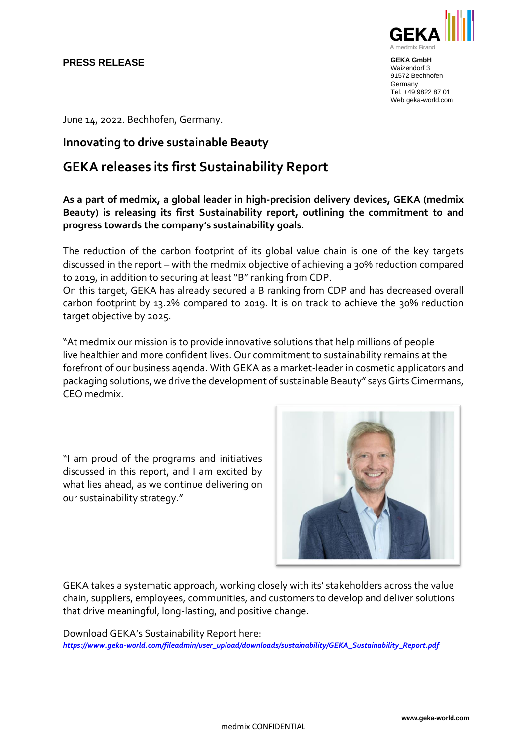### **PRESS RELEASE**



**GEKA GmbH** Waizendorf 3 91572 Bechhofen **Germany** Tel. +49 9822 87 01 Web geka-world.com

June 14, 2022. Bechhofen, Germany.

## **Innovating to drive sustainable Beauty**

# **GEKA releases its first Sustainability Report**

**As a part of medmix, a global leader in high-precision delivery devices, GEKA (medmix Beauty) is releasing its first Sustainability report, outlining the commitment to and progress towards the company's sustainability goals.** 

The reduction of the carbon footprint of its global value chain is one of the key targets discussed in the report – with the medmix objective of achieving a 30% reduction compared to 2019, in addition to securing at least "B" ranking from CDP.

On this target, GEKA has already secured a B ranking from CDP and has decreased overall carbon footprint by 13.2% compared to 2019. It is on track to achieve the 30% reduction target objective by 2025.

"At medmix our mission is to provide innovative solutions that help millions of people live healthier and more confident lives. Our commitment to sustainability remains at the forefront of our business agenda. With GEKA as a market-leader in cosmetic applicators and packaging solutions, we drive the development of sustainable Beauty" says Girts Cimermans, CEO medmix.

"I am proud of the programs and initiatives discussed in this report, and I am excited by what lies ahead, as we continue delivering on our sustainability strategy."



GEKA takes a systematic approach, working closely with its' stakeholders across the value chain, suppliers, employees, communities, and customers to develop and deliver solutions that drive meaningful, long-lasting, and positive change.

Download GEKA's Sustainability Report here: *[https://www.geka-world.com/fileadmin/user\\_upload/downloads/sustainability/GEKA\\_Sustainability\\_Report.pdf](https://www.geka-world.com/fileadmin/user_upload/downloads/sustainability/GEKA_Sustainability_Report.pdf)*